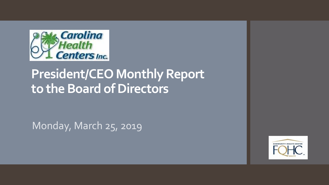

# **President/CEO Monthly Report to the Board of Directors**

Monday, March 25, 2019

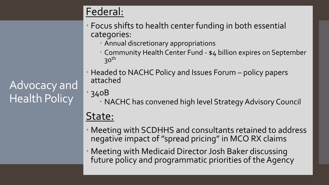## Federal:

- Focus shifts to health center funding in both essential categories:
	- Annual discretionary appropriations
	- Community Health Center Fund \$4 billion expires on September  $30<sup>th</sup>$
- Headed to NACHC Policy and Issues Forum policy papers attached
- 340B
	- NACHC has convened high level Strategy Advisory Council

## State:

- Meeting with SCDHHS and consultants retained to address negative impact of "spread pricing" in MCO RX claims
- Meeting with Medicaid Director Josh Baker discussing future policy and programmatic priorities of the Agency 20, 2019.

Advocacy and Health Policy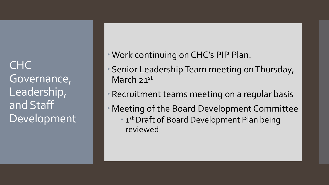**CHC** Governance, Leadership, and Staff Development

- Work continuing on CHC's PIP Plan.
- Senior Leadership Team meeting on Thursday, March 21st
- Recruitment teams meeting on a regular basis
- Meeting of the Board Development Committee **1st Draft of Board Development Plan being** reviewed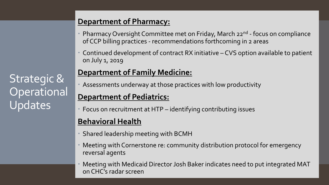# Strategic & **Operational** Updates

#### **Department of Pharmacy:**

- Pharmacy Oversight Committee met on Friday, March 22<sup>nd</sup> focus on compliance of CCP billing practices - recommendations forthcoming in 2 areas
- Continued development of contract RX initiative CVS option available to patient on July 1, 2019

#### **Department of Family Medicine:**

Assessments underway at those practices with low productivity

#### **Department of Pediatrics:**

Focus on recruitment at HTP – identifying contributing issues

#### **Behavioral Health**

- Shared leadership meeting with BCMH
- Meeting with Cornerstone re: community distribution protocol for emergency reversal agents
- Meeting with Medicaid Director Josh Baker indicates need to put integrated MAT on CHC's radar screen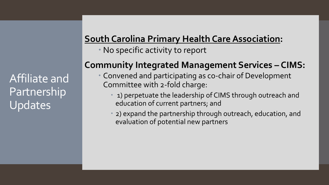### **South Carolina Primary Health Care Association:**

No specific activity to report

### **Community Integrated Management Services – CIMS:**

- Convened and participating as co-chair of Development Committee with 2-fold charge:
	- 1) perpetuate the leadership of CIMS through outreach and education of current partners; and
	- 2) expand the partnership through outreach, education, and evaluation of potential new partners

Affiliate and Partnership Updates